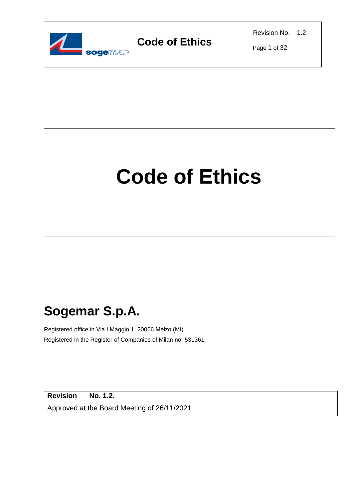

Revision No. 1.2

Page 1 of 32

# **Code of Ethics**

# **Sogemar S.p.A.**

Registered office in Via I Maggio 1, 20066 Melzo (MI) Registered in the Register of Companies of Milan no. 531361

**Revision No. 1.2.** Approved at the Board Meeting of 26/11/2021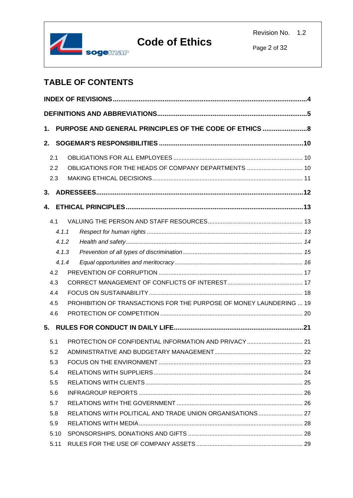

Page 2 of 32

### **TABLE OF CONTENTS**

| 1. |       | PURPOSE AND GENERAL PRINCIPLES OF THE CODE OF ETHICS                |  |  |  |  |  |
|----|-------|---------------------------------------------------------------------|--|--|--|--|--|
| 2. |       |                                                                     |  |  |  |  |  |
|    | 2.1   |                                                                     |  |  |  |  |  |
|    | 2.2   |                                                                     |  |  |  |  |  |
|    | 2.3   |                                                                     |  |  |  |  |  |
| 3. |       |                                                                     |  |  |  |  |  |
| 4. |       |                                                                     |  |  |  |  |  |
|    | 4.1   |                                                                     |  |  |  |  |  |
|    | 4.1.1 |                                                                     |  |  |  |  |  |
|    | 4.1.2 |                                                                     |  |  |  |  |  |
|    | 4.1.3 |                                                                     |  |  |  |  |  |
|    | 4.1.4 |                                                                     |  |  |  |  |  |
|    | 4.2   |                                                                     |  |  |  |  |  |
|    | 4.3   |                                                                     |  |  |  |  |  |
|    | 4.4   |                                                                     |  |  |  |  |  |
|    | 4.5   | PROHIBITION OF TRANSACTIONS FOR THE PURPOSE OF MONEY LAUNDERING  19 |  |  |  |  |  |
|    | 4.6   |                                                                     |  |  |  |  |  |
| 5. |       |                                                                     |  |  |  |  |  |
|    | 5.1   |                                                                     |  |  |  |  |  |
|    | 5.2   |                                                                     |  |  |  |  |  |
|    | 5.3   |                                                                     |  |  |  |  |  |
|    | 5.4   |                                                                     |  |  |  |  |  |
|    | 5.5   |                                                                     |  |  |  |  |  |
|    | 5.6   |                                                                     |  |  |  |  |  |
|    | 5.7   |                                                                     |  |  |  |  |  |
|    | 5.8   | RELATIONS WITH POLITICAL AND TRADE UNION ORGANISATIONS  27          |  |  |  |  |  |
|    | 5.9   |                                                                     |  |  |  |  |  |
|    | 5.10  |                                                                     |  |  |  |  |  |
|    | 5.11  |                                                                     |  |  |  |  |  |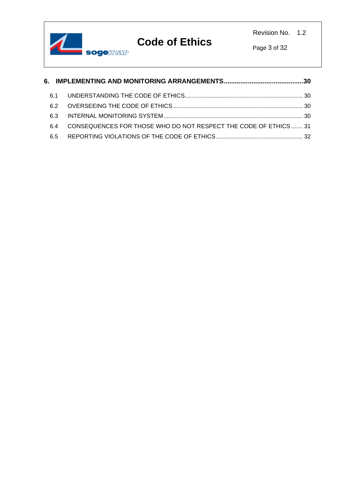

Page 3 of 32

| 61  |                                                                 |  |
|-----|-----------------------------------------------------------------|--|
| 62  |                                                                 |  |
| 63  |                                                                 |  |
| 64  | CONSEQUENCES FOR THOSE WHO DO NOT RESPECT THE CODE OF ETHICS 31 |  |
| 6.5 |                                                                 |  |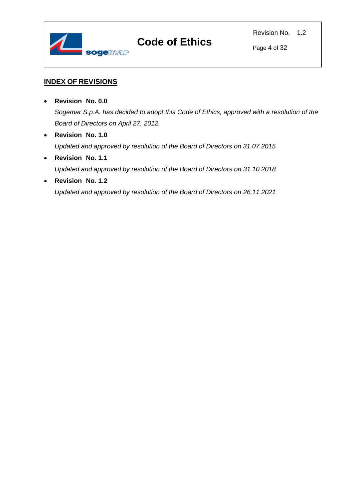

Page 4 of 32

#### <span id="page-3-0"></span>**INDEX OF REVISIONS**

- **Revision No. 0.0** *Sogemar S.p.A. has decided to adopt this Code of Ethics, approved with a resolution of the Board of Directors on April 27, 2012.*
- **Revision No. 1.0** *Updated and approved by resolution of the Board of Directors on 31.07.2015*
- **Revision No. 1.1** *Updated and approved by resolution of the Board of Directors on 31.10.2018*
- **Revision No. 1.2** *Updated and approved by resolution of the Board of Directors on 26.11.2021*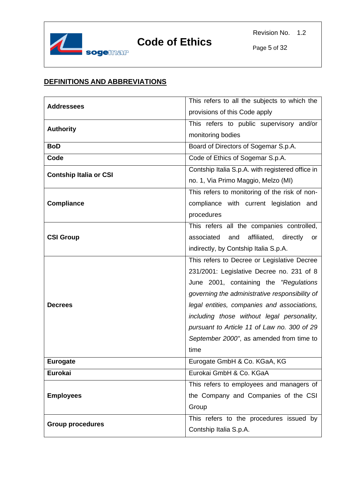

#### <span id="page-4-0"></span>**DEFINITIONS AND ABBREVIATIONS**

| <b>Addressees</b>             | This refers to all the subjects to which the     |
|-------------------------------|--------------------------------------------------|
|                               | provisions of this Code apply                    |
| <b>Authority</b>              | This refers to public supervisory and/or         |
|                               | monitoring bodies                                |
| <b>BoD</b>                    | Board of Directors of Sogemar S.p.A.             |
| Code                          | Code of Ethics of Sogemar S.p.A.                 |
| <b>Contship Italia or CSI</b> | Contship Italia S.p.A. with registered office in |
|                               | no. 1, Via Primo Maggio, Melzo (MI)              |
|                               | This refers to monitoring of the risk of non-    |
| <b>Compliance</b>             | compliance with current legislation<br>and       |
|                               | procedures                                       |
|                               | This refers all the companies controlled,        |
| <b>CSI Group</b>              | associated<br>affiliated, directly<br>and<br>or  |
|                               | indirectly, by Contship Italia S.p.A.            |
|                               | This refers to Decree or Legislative Decree      |
|                               | 231/2001: Legislative Decree no. 231 of 8        |
|                               | June 2001, containing the "Regulations           |
|                               | governing the administrative responsibility of   |
| <b>Decrees</b>                | legal entities, companies and associations,      |
|                               | including those without legal personality,       |
|                               | pursuant to Article 11 of Law no. 300 of 29      |
|                               | September 2000", as amended from time to         |
|                               | time                                             |
| <b>Eurogate</b>               | Eurogate GmbH & Co. KGaA, KG                     |
| Eurokai                       | Eurokai GmbH & Co. KGaA                          |
|                               | This refers to employees and managers of         |
| <b>Employees</b>              | the Company and Companies of the CSI             |
|                               | Group                                            |
| <b>Group procedures</b>       | This refers to the procedures issued by          |
|                               | Contship Italia S.p.A.                           |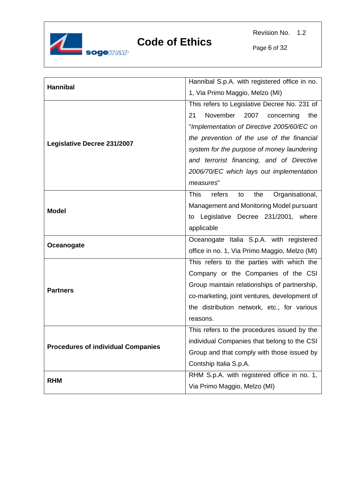

Revision No. 1.2

Page 6 of 32

| Hannibal                                  | Hannibal S.p.A. with registered office in no.         |
|-------------------------------------------|-------------------------------------------------------|
|                                           | 1, Via Primo Maggio, Melzo (MI)                       |
|                                           | This refers to Legislative Decree No. 231 of          |
|                                           | November<br>21<br>2007 concerning<br>the              |
|                                           | "Implementation of Directive 2005/60/EC on            |
|                                           | the prevention of the use of the financial            |
| Legislative Decree 231/2007               | system for the purpose of money laundering            |
|                                           | and terrorist financing, and of Directive             |
|                                           | 2006/70/EC which lays out implementation              |
|                                           | measures"                                             |
|                                           | <b>This</b><br>refers<br>Organisational,<br>the<br>to |
|                                           | Management and Monitoring Model pursuant              |
| <b>Model</b>                              | to Legislative Decree 231/2001, where                 |
|                                           | applicable                                            |
|                                           | Oceanogate Italia S.p.A. with registered              |
| Oceanogate                                | office in no. 1, Via Primo Maggio, Melzo (MI)         |
|                                           | This refers to the parties with which the             |
|                                           | Company or the Companies of the CSI                   |
| <b>Partners</b>                           | Group maintain relationships of partnership,          |
|                                           | co-marketing, joint ventures, development of          |
|                                           | the distribution network, etc., for various           |
|                                           | reasons.                                              |
|                                           | This refers to the procedures issued by the           |
| <b>Procedures of individual Companies</b> | individual Companies that belong to the CSI           |
|                                           | Group and that comply with those issued by            |
|                                           | Contship Italia S.p.A.                                |
| <b>RHM</b>                                | RHM S.p.A. with registered office in no. 1,           |
|                                           | Via Primo Maggio, Melzo (MI)                          |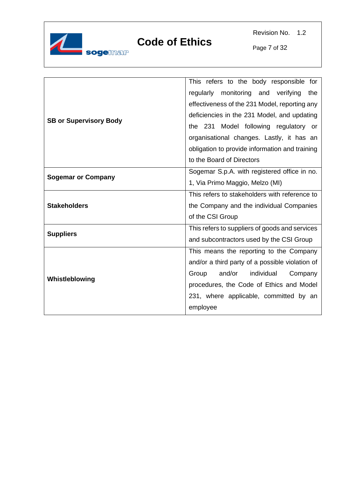

Revision No. 1.2

Page 7 of 32

|                               | This refers to the body responsible for         |
|-------------------------------|-------------------------------------------------|
|                               | monitoring and verifying<br>regularly<br>the    |
|                               | effectiveness of the 231 Model, reporting any   |
|                               | deficiencies in the 231 Model, and updating     |
| <b>SB or Supervisory Body</b> | Model following regulatory or<br>the 231        |
|                               | organisational changes. Lastly, it has an       |
|                               | obligation to provide information and training  |
|                               | to the Board of Directors                       |
|                               | Sogemar S.p.A. with registered office in no.    |
| <b>Sogemar or Company</b>     | 1, Via Primo Maggio, Melzo (MI)                 |
|                               | This refers to stakeholders with reference to   |
| <b>Stakeholders</b>           | the Company and the individual Companies        |
|                               | of the CSI Group                                |
| <b>Suppliers</b>              | This refers to suppliers of goods and services  |
|                               | and subcontractors used by the CSI Group        |
|                               | This means the reporting to the Company         |
|                               | and/or a third party of a possible violation of |
| Whistleblowing                | and/or<br>individual<br>Group<br>Company        |
|                               | procedures, the Code of Ethics and Model        |
|                               | 231, where applicable, committed by an          |
|                               | employee                                        |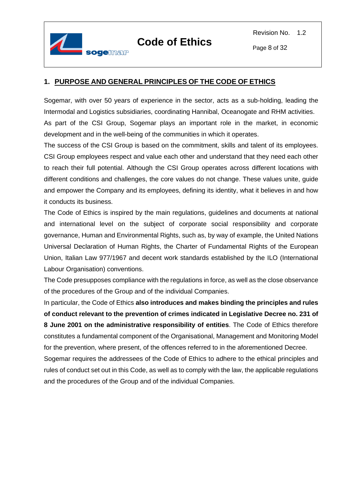

#### <span id="page-7-0"></span>**1. PURPOSE AND GENERAL PRINCIPLES OF THE CODE OF ETHICS**

Sogemar, with over 50 years of experience in the sector, acts as a sub-holding, leading the Intermodal and Logistics subsidiaries, coordinating Hannibal, Oceanogate and RHM activities. As part of the CSI Group, Sogemar plays an important role in the market, in economic development and in the well-being of the communities in which it operates.

The success of the CSI Group is based on the commitment, skills and talent of its employees. CSI Group employees respect and value each other and understand that they need each other to reach their full potential. Although the CSI Group operates across different locations with different conditions and challenges, the core values do not change. These values unite, guide and empower the Company and its employees, defining its identity, what it believes in and how it conducts its business.

The Code of Ethics is inspired by the main regulations, guidelines and documents at national and international level on the subject of corporate social responsibility and corporate governance, Human and Environmental Rights, such as, by way of example, the United Nations Universal Declaration of Human Rights, the Charter of Fundamental Rights of the European Union, Italian Law 977/1967 and decent work standards established by the ILO (International Labour Organisation) conventions.

The Code presupposes compliance with the regulations in force, as well as the close observance of the procedures of the Group and of the individual Companies.

In particular, the Code of Ethics **also introduces and makes binding the principles and rules of conduct relevant to the prevention of crimes indicated in Legislative Decree no. 231 of 8 June 2001 on the administrative responsibility of entities**. The Code of Ethics therefore constitutes a fundamental component of the Organisational, Management and Monitoring Model for the prevention, where present, of the offences referred to in the aforementioned Decree.

Sogemar requires the addressees of the Code of Ethics to adhere to the ethical principles and rules of conduct set out in this Code, as well as to comply with the law, the applicable regulations and the procedures of the Group and of the individual Companies.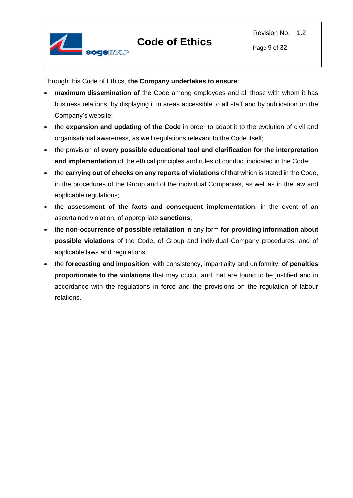



Through this Code of Ethics, **the Company undertakes to ensure**:

- **maximum dissemination of** the Code among employees and all those with whom it has business relations, by displaying it in areas accessible to all staff and by publication on the Company's website;
- the **expansion and updating of the Code** in order to adapt it to the evolution of civil and organisational awareness, as well regulations relevant to the Code itself;
- the provision of **every possible educational tool and clarification for the interpretation and implementation** of the ethical principles and rules of conduct indicated in the Code;
- the **carrying out of checks on any reports of violations** of that which is stated in the Code, in the procedures of the Group and of the individual Companies, as well as in the law and applicable regulations;
- the **assessment of the facts and consequent implementation**, in the event of an ascertained violation, of appropriate **sanctions**;
- the **non-occurrence of possible retaliation** in any form **for providing information about possible violations** of the Code**,** of Group and individual Company procedures, and of applicable laws and regulations;
- the **forecasting and imposition**, with consistency, impartiality and uniformity, **of penalties proportionate to the violations** that may occur, and that are found to be justified and in accordance with the regulations in force and the provisions on the regulation of labour relations.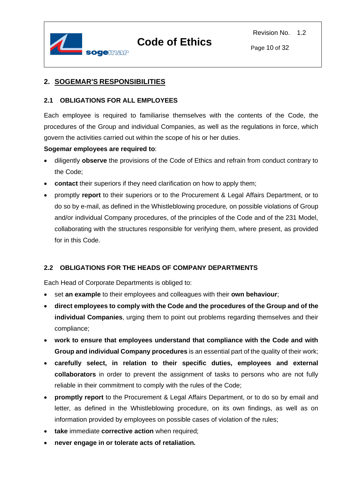

#### <span id="page-9-0"></span>**2. SOGEMAR'S RESPONSIBILITIES**

#### <span id="page-9-1"></span>**2.1 OBLIGATIONS FOR ALL EMPLOYEES**

Each employee is required to familiarise themselves with the contents of the Code, the procedures of the Group and individual Companies, as well as the regulations in force, which govern the activities carried out within the scope of his or her duties.

#### **Sogemar employees are required to**:

- diligently **observe** the provisions of the Code of Ethics and refrain from conduct contrary to the Code;
- **contact** their superiors if they need clarification on how to apply them;
- promptly **report** to their superiors or to the Procurement & Legal Affairs Department, or to do so by e-mail, as defined in the Whistleblowing procedure*,* on possible violations of Group and/or individual Company procedures, of the principles of the Code and of the 231 Model, collaborating with the structures responsible for verifying them, where present, as provided for in this Code.

#### <span id="page-9-2"></span>**2.2 OBLIGATIONS FOR THE HEADS OF COMPANY DEPARTMENTS**

Each Head of Corporate Departments is obliged to:

- set **an example** to their employees and colleagues with their **own behaviour**;
- **direct employees to comply with the Code and the procedures of the Group and of the individual Companies**, urging them to point out problems regarding themselves and their compliance;
- **work to ensure that employees understand that compliance with the Code and with Group and individual Company procedures** is an essential part of the quality of their work;
- **carefully select, in relation to their specific duties, employees and external collaborators** in order to prevent the assignment of tasks to persons who are not fully reliable in their commitment to comply with the rules of the Code;
- **promptly report** to the Procurement & Legal Affairs Department, or to do so by email and letter*,* as defined in the Whistleblowing procedure, on its own findings, as well as on information provided by employees on possible cases of violation of the rules;
- **take** immediate **corrective action** when required;
- **never engage in or tolerate acts of retaliation.**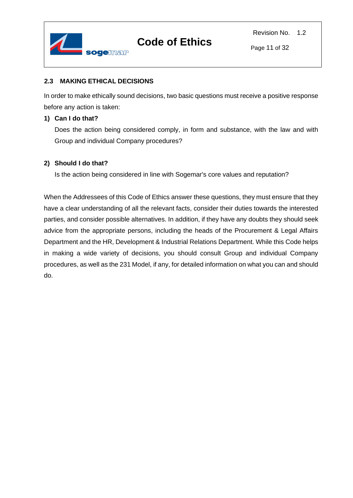

#### <span id="page-10-0"></span>**2.3 MAKING ETHICAL DECISIONS**

In order to make ethically sound decisions, two basic questions must receive a positive response before any action is taken:

#### **1) Can I do that?**

Does the action being considered comply, in form and substance, with the law and with Group and individual Company procedures?

#### **2) Should I do that?**

Is the action being considered in line with Sogemar's core values and reputation?

When the Addressees of this Code of Ethics answer these questions, they must ensure that they have a clear understanding of all the relevant facts, consider their duties towards the interested parties, and consider possible alternatives. In addition, if they have any doubts they should seek advice from the appropriate persons, including the heads of the Procurement & Legal Affairs Department and the HR, Development & Industrial Relations Department. While this Code helps in making a wide variety of decisions, you should consult Group and individual Company procedures, as well as the 231 Model, if any, for detailed information on what you can and should do.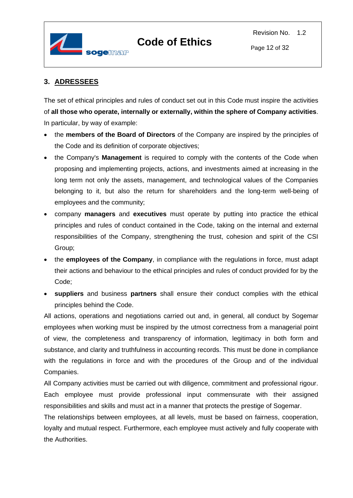

#### <span id="page-11-0"></span>**3. ADRESSEES**

The set of ethical principles and rules of conduct set out in this Code must inspire the activities of **all those who operate, internally or externally, within the sphere of Company activities**. In particular, by way of example:

- the **members of the Board of Directors** of the Company are inspired by the principles of the Code and its definition of corporate objectives;
- the Company's **Management** is required to comply with the contents of the Code when proposing and implementing projects, actions, and investments aimed at increasing in the long term not only the assets, management, and technological values of the Companies belonging to it, but also the return for shareholders and the long-term well-being of employees and the community;
- company **managers** and **executives** must operate by putting into practice the ethical principles and rules of conduct contained in the Code, taking on the internal and external responsibilities of the Company, strengthening the trust, cohesion and spirit of the CSI Group;
- the **employees of the Company**, in compliance with the regulations in force, must adapt their actions and behaviour to the ethical principles and rules of conduct provided for by the Code;
- **suppliers** and business **partners** shall ensure their conduct complies with the ethical principles behind the Code.

All actions, operations and negotiations carried out and, in general, all conduct by Sogemar employees when working must be inspired by the utmost correctness from a managerial point of view, the completeness and transparency of information, legitimacy in both form and substance, and clarity and truthfulness in accounting records. This must be done in compliance with the regulations in force and with the procedures of the Group and of the individual Companies.

All Company activities must be carried out with diligence, commitment and professional rigour. Each employee must provide professional input commensurate with their assigned responsibilities and skills and must act in a manner that protects the prestige of Sogemar.

The relationships between employees, at all levels, must be based on fairness, cooperation, loyalty and mutual respect. Furthermore, each employee must actively and fully cooperate with the Authorities.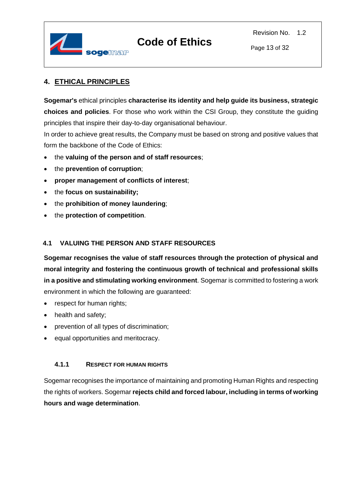

Page 13 of 32

#### <span id="page-12-0"></span>**4. ETHICAL PRINCIPLES**

**Sogemar's** ethical principles **characterise its identity and help guide its business, strategic choices and policies**. For those who work within the CSI Group, they constitute the guiding principles that inspire their day-to-day organisational behaviour.

In order to achieve great results, the Company must be based on strong and positive values that form the backbone of the Code of Ethics:

- the **valuing of the person and of staff resources**;
- the **prevention of corruption**;
- **proper management of conflicts of interest**;
- the **focus on sustainability;**
- the **prohibition of money laundering**;
- the **protection of competition**.

#### <span id="page-12-1"></span>**4.1 VALUING THE PERSON AND STAFF RESOURCES**

**Sogemar recognises the value of staff resources through the protection of physical and moral integrity and fostering the continuous growth of technical and professional skills in a positive and stimulating working environment**. Sogemar is committed to fostering a work environment in which the following are guaranteed:

- respect for human rights;
- health and safety:
- prevention of all types of discrimination;
- equal opportunities and meritocracy.

#### <span id="page-12-2"></span>**4.1.1 RESPECT FOR HUMAN RIGHTS**

Sogemar recognises the importance of maintaining and promoting Human Rights and respecting the rights of workers. Sogemar **rejects child and forced labour, including in terms of working hours and wage determination**.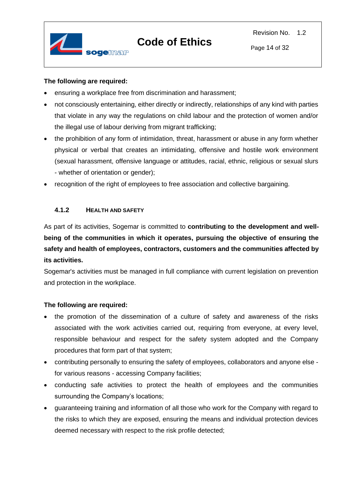

#### **The following are required:**

- ensuring a workplace free from discrimination and harassment;
- not consciously entertaining, either directly or indirectly, relationships of any kind with parties that violate in any way the regulations on child labour and the protection of women and/or the illegal use of labour deriving from migrant trafficking;
- the prohibition of any form of intimidation, threat, harassment or abuse in any form whether physical or verbal that creates an intimidating, offensive and hostile work environment (sexual harassment, offensive language or attitudes, racial, ethnic, religious or sexual slurs - whether of orientation or gender);
- recognition of the right of employees to free association and collective bargaining.

#### <span id="page-13-0"></span>**4.1.2 HEALTH AND SAFETY**

As part of its activities, Sogemar is committed to **contributing to the development and wellbeing of the communities in which it operates, pursuing the objective of ensuring the safety and health of employees, contractors, customers and the communities affected by its activities.**

Sogemar's activities must be managed in full compliance with current legislation on prevention and protection in the workplace.

- the promotion of the dissemination of a culture of safety and awareness of the risks associated with the work activities carried out, requiring from everyone, at every level, responsible behaviour and respect for the safety system adopted and the Company procedures that form part of that system;
- contributing personally to ensuring the safety of employees, collaborators and anyone else for various reasons - accessing Company facilities;
- conducting safe activities to protect the health of employees and the communities surrounding the Company's locations;
- guaranteeing training and information of all those who work for the Company with regard to the risks to which they are exposed, ensuring the means and individual protection devices deemed necessary with respect to the risk profile detected;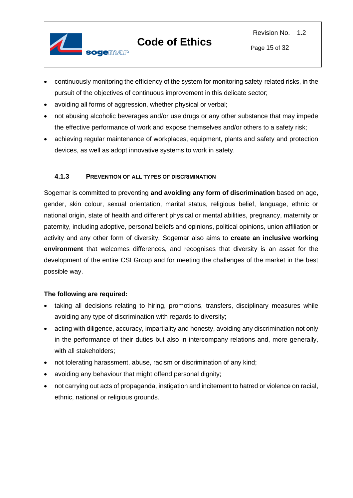

- continuously monitoring the efficiency of the system for monitoring safety-related risks, in the pursuit of the objectives of continuous improvement in this delicate sector;
- avoiding all forms of aggression, whether physical or verbal;
- not abusing alcoholic beverages and/or use drugs or any other substance that may impede the effective performance of work and expose themselves and/or others to a safety risk;
- achieving regular maintenance of workplaces, equipment, plants and safety and protection devices, as well as adopt innovative systems to work in safety.

#### <span id="page-14-0"></span>**4.1.3 PREVENTION OF ALL TYPES OF DISCRIMINATION**

Sogemar is committed to preventing **and avoiding any form of discrimination** based on age, gender, skin colour, sexual orientation, marital status, religious belief, language, ethnic or national origin, state of health and different physical or mental abilities, pregnancy, maternity or paternity, including adoptive, personal beliefs and opinions, political opinions, union affiliation or activity and any other form of diversity. Sogemar also aims to **create an inclusive working environment** that welcomes differences, and recognises that diversity is an asset for the development of the entire CSI Group and for meeting the challenges of the market in the best possible way.

- taking all decisions relating to hiring, promotions, transfers, disciplinary measures while avoiding any type of discrimination with regards to diversity;
- acting with diligence, accuracy, impartiality and honesty, avoiding any discrimination not only in the performance of their duties but also in intercompany relations and, more generally, with all stakeholders;
- not tolerating harassment, abuse, racism or discrimination of any kind;
- avoiding any behaviour that might offend personal dignity;
- not carrying out acts of propaganda, instigation and incitement to hatred or violence on racial, ethnic, national or religious grounds.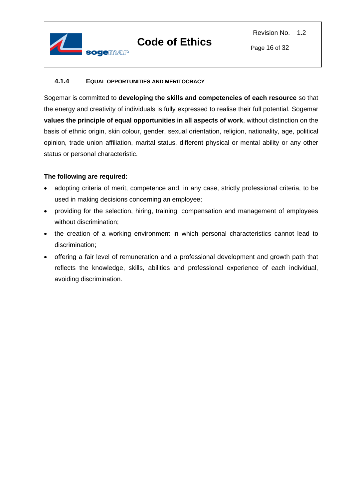

#### <span id="page-15-0"></span>**4.1.4 EQUAL OPPORTUNITIES AND MERITOCRACY**

Sogemar is committed to **developing the skills and competencies of each resource** so that the energy and creativity of individuals is fully expressed to realise their full potential. Sogemar **values the principle of equal opportunities in all aspects of work**, without distinction on the basis of ethnic origin, skin colour, gender, sexual orientation, religion, nationality, age, political opinion, trade union affiliation, marital status, different physical or mental ability or any other status or personal characteristic.

- adopting criteria of merit, competence and, in any case, strictly professional criteria, to be used in making decisions concerning an employee;
- providing for the selection, hiring, training, compensation and management of employees without discrimination;
- the creation of a working environment in which personal characteristics cannot lead to discrimination;
- offering a fair level of remuneration and a professional development and growth path that reflects the knowledge, skills, abilities and professional experience of each individual, avoiding discrimination.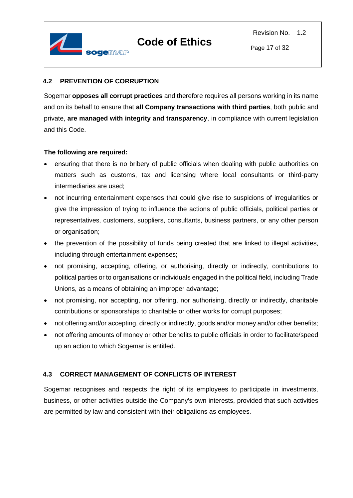

#### <span id="page-16-0"></span>**4.2 PREVENTION OF CORRUPTION**

Sogemar **opposes all corrupt practices** and therefore requires all persons working in its name and on its behalf to ensure that **all Company transactions with third parties**, both public and private, **are managed with integrity and transparency**, in compliance with current legislation and this Code.

#### **The following are required:**

- ensuring that there is no bribery of public officials when dealing with public authorities on matters such as customs, tax and licensing where local consultants or third-party intermediaries are used;
- not incurring entertainment expenses that could give rise to suspicions of irregularities or give the impression of trying to influence the actions of public officials, political parties or representatives, customers, suppliers, consultants, business partners, or any other person or organisation;
- the prevention of the possibility of funds being created that are linked to illegal activities, including through entertainment expenses;
- not promising, accepting, offering, or authorising, directly or indirectly, contributions to political parties or to organisations or individuals engaged in the political field, including Trade Unions, as a means of obtaining an improper advantage;
- not promising, nor accepting, nor offering, nor authorising, directly or indirectly, charitable contributions or sponsorships to charitable or other works for corrupt purposes;
- not offering and/or accepting, directly or indirectly, goods and/or money and/or other benefits;
- not offering amounts of money or other benefits to public officials in order to facilitate/speed up an action to which Sogemar is entitled.

#### <span id="page-16-1"></span>**4.3 CORRECT MANAGEMENT OF CONFLICTS OF INTEREST**

Sogemar recognises and respects the right of its employees to participate in investments, business, or other activities outside the Company's own interests, provided that such activities are permitted by law and consistent with their obligations as employees.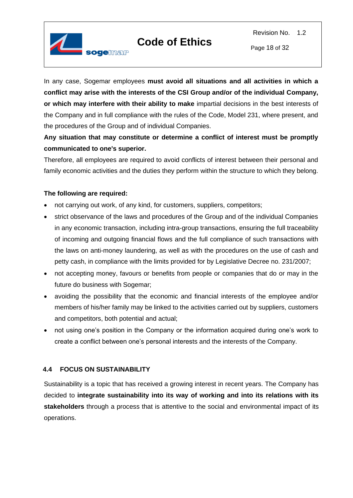

Revision No. 1.2



In any case, Sogemar employees **must avoid all situations and all activities in which a conflict may arise with the interests of the CSI Group and/or of the individual Company, or which may interfere with their ability to make** impartial decisions in the best interests of the Company and in full compliance with the rules of the Code, Model 231, where present, and the procedures of the Group and of individual Companies.

**Any situation that may constitute or determine a conflict of interest must be promptly communicated to one's superior.**

Therefore, all employees are required to avoid conflicts of interest between their personal and family economic activities and the duties they perform within the structure to which they belong.

#### **The following are required:**

- not carrying out work, of any kind, for customers, suppliers, competitors;
- strict observance of the laws and procedures of the Group and of the individual Companies in any economic transaction, including intra-group transactions, ensuring the full traceability of incoming and outgoing financial flows and the full compliance of such transactions with the laws on anti-money laundering, as well as with the procedures on the use of cash and petty cash, in compliance with the limits provided for by Legislative Decree no. 231/2007;
- not accepting money, favours or benefits from people or companies that do or may in the future do business with Sogemar;
- avoiding the possibility that the economic and financial interests of the employee and/or members of his/her family may be linked to the activities carried out by suppliers, customers and competitors, both potential and actual;
- not using one's position in the Company or the information acquired during one's work to create a conflict between one's personal interests and the interests of the Company.

#### <span id="page-17-0"></span>**4.4 FOCUS ON SUSTAINABILITY**

Sustainability is a topic that has received a growing interest in recent years. The Company has decided to **integrate sustainability into its way of working and into its relations with its stakeholders** through a process that is attentive to the social and environmental impact of its operations.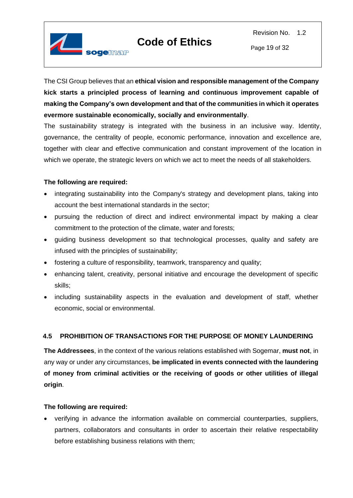

The CSI Group believes that an **ethical vision and responsible management of the Company kick starts a principled process of learning and continuous improvement capable of making the Company's own development and that of the communities in which it operates evermore sustainable economically, socially and environmentally**.

The sustainability strategy is integrated with the business in an inclusive way. Identity, governance, the centrality of people, economic performance, innovation and excellence are, together with clear and effective communication and constant improvement of the location in which we operate, the strategic levers on which we act to meet the needs of all stakeholders.

#### **The following are required:**

- integrating sustainability into the Company's strategy and development plans, taking into account the best international standards in the sector;
- pursuing the reduction of direct and indirect environmental impact by making a clear commitment to the protection of the climate, water and forests;
- guiding business development so that technological processes, quality and safety are infused with the principles of sustainability;
- fostering a culture of responsibility, teamwork, transparency and quality;
- enhancing talent, creativity, personal initiative and encourage the development of specific skills;
- including sustainability aspects in the evaluation and development of staff, whether economic, social or environmental.

#### <span id="page-18-0"></span>**4.5 PROHIBITION OF TRANSACTIONS FOR THE PURPOSE OF MONEY LAUNDERING**

**The Addressees**, in the context of the various relations established with Sogemar, **must not**, in any way or under any circumstances, **be implicated in events connected with the laundering of money from criminal activities or the receiving of goods or other utilities of illegal origin**.

#### **The following are required:**

• verifying in advance the information available on commercial counterparties, suppliers, partners, collaborators and consultants in order to ascertain their relative respectability before establishing business relations with them;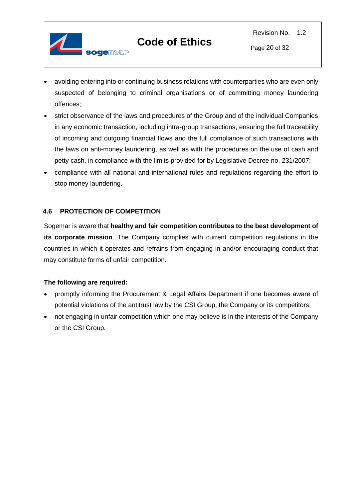

- avoiding entering into or continuing business relations with counterparties who are even only suspected of belonging to criminal organisations or of committing money laundering offences;
- strict observance of the laws and procedures of the Group and of the individual Companies in any economic transaction, including intra-group transactions, ensuring the full traceability of incoming and outgoing financial flows and the full compliance of such transactions with the laws on anti-money laundering, as well as with the procedures on the use of cash and petty cash, in compliance with the limits provided for by Legislative Decree no. 231/2007;
- compliance with all national and international rules and regulations regarding the effort to stop money laundering.

#### <span id="page-19-0"></span>**4.6 PROTECTION OF COMPETITION**

Sogemar is aware that **healthy and fair competition contributes to the best development of its corporate mission**. The Company complies with current competition regulations in the countries in which it operates and refrains from engaging in and/or encouraging conduct that may constitute forms of unfair competition.

- promptly informing the Procurement & Legal Affairs Department if one becomes aware of potential violations of the antitrust law by the CSI Group, the Company or its competitors;
- not engaging in unfair competition which one may believe is in the interests of the Company or the CSI Group.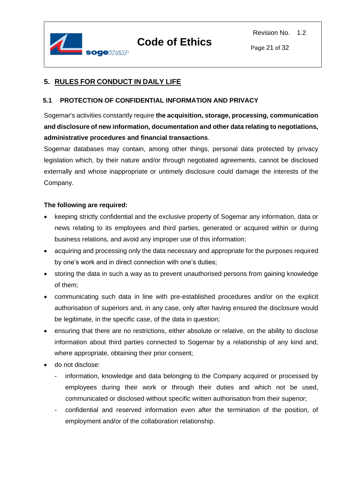

#### <span id="page-20-0"></span>**5. RULES FOR CONDUCT IN DAILY LIFE**

#### <span id="page-20-1"></span>**5.1 PROTECTION OF CONFIDENTIAL INFORMATION AND PRIVACY**

Sogemar's activities constantly require **the acquisition, storage, processing, communication and disclosure of new information, documentation and other data relating to negotiations, administrative procedures and financial transactions**.

Sogemar databases may contain, among other things, personal data protected by privacy legislation which, by their nature and/or through negotiated agreements, cannot be disclosed externally and whose inappropriate or untimely disclosure could damage the interests of the Company.

- keeping strictly confidential and the exclusive property of Sogemar any information, data or news relating to its employees and third parties, generated or acquired within or during business relations, and avoid any improper use of this information;
- acquiring and processing only the data necessary and appropriate for the purposes required by one's work and in direct connection with one's duties;
- storing the data in such a way as to prevent unauthorised persons from gaining knowledge of them;
- communicating such data in line with pre-established procedures and/or on the explicit authorisation of superiors and, in any case, only after having ensured the disclosure would be legitimate, in the specific case, of the data in question;
- ensuring that there are no restrictions, either absolute or relative, on the ability to disclose information about third parties connected to Sogemar by a relationship of any kind and, where appropriate, obtaining their prior consent;
- do not disclose:
	- information, knowledge and data belonging to the Company acquired or processed by employees during their work or through their duties and which not be used, communicated or disclosed without specific written authorisation from their superior;
	- confidential and reserved information even after the termination of the position, of employment and/or of the collaboration relationship.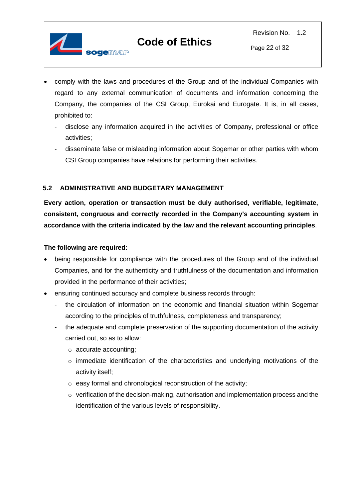

- comply with the laws and procedures of the Group and of the individual Companies with regard to any external communication of documents and information concerning the Company, the companies of the CSI Group, Eurokai and Eurogate. It is, in all cases, prohibited to:
	- disclose any information acquired in the activities of Company, professional or office activities;
	- disseminate false or misleading information about Sogemar or other parties with whom CSI Group companies have relations for performing their activities.

#### <span id="page-21-0"></span>**5.2 ADMINISTRATIVE AND BUDGETARY MANAGEMENT**

**Every action, operation or transaction must be duly authorised, verifiable, legitimate, consistent, congruous and correctly recorded in the Company's accounting system in accordance with the criteria indicated by the law and the relevant accounting principles**.

- being responsible for compliance with the procedures of the Group and of the individual Companies, and for the authenticity and truthfulness of the documentation and information provided in the performance of their activities;
- ensuring continued accuracy and complete business records through:
	- the circulation of information on the economic and financial situation within Sogemar according to the principles of truthfulness, completeness and transparency;
	- the adequate and complete preservation of the supporting documentation of the activity carried out, so as to allow:
		- o accurate accounting;
		- o immediate identification of the characteristics and underlying motivations of the activity itself;
		- o easy formal and chronological reconstruction of the activity;
		- $\circ$  verification of the decision-making, authorisation and implementation process and the identification of the various levels of responsibility.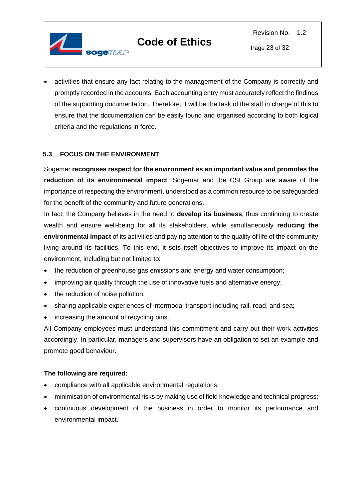

Page 23 of 32

• activities that ensure any fact relating to the management of the Company is correctly and promptly recorded in the accounts. Each accounting entry must accurately reflect the findings of the supporting documentation. Therefore, it will be the task of the staff in charge of this to ensure that the documentation can be easily found and organised according to both logical criteria and the regulations in force.

#### <span id="page-22-0"></span>**5.3 FOCUS ON THE ENVIRONMENT**

Sogemar **recognises respect for the environment as an important value and promotes the reduction of its environmental impact**. Sogemar and the CSI Group are aware of the importance of respecting the environment, understood as a common resource to be safeguarded for the benefit of the community and future generations.

In fact, the Company believes in the need to **develop its business**, thus continuing to create wealth and ensure well-being for all its stakeholders, while simultaneously **reducing the environmental impact** of its activities and paying attention to the quality of life of the community living around its facilities. To this end, it sets itself objectives to improve its impact on the environment, including but not limited to:

- the reduction of greenhouse gas emissions and energy and water consumption;
- improving air quality through the use of innovative fuels and alternative energy;
- the reduction of noise pollution;
- sharing applicable experiences of intermodal transport including rail, road, and sea;
- increasing the amount of recycling bins.

All Company employees must understand this commitment and carry out their work activities accordingly. In particular, managers and supervisors have an obligation to set an example and promote good behaviour.

- compliance with all applicable environmental regulations;
- minimisation of environmental risks by making use of field knowledge and technical progress;
- continuous development of the business in order to monitor its performance and environmental impact.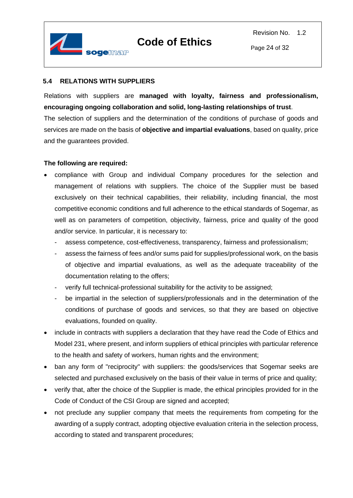

#### <span id="page-23-0"></span>**5.4 RELATIONS WITH SUPPLIERS**

Relations with suppliers are **managed with loyalty, fairness and professionalism, encouraging ongoing collaboration and solid, long-lasting relationships of trust**.

The selection of suppliers and the determination of the conditions of purchase of goods and services are made on the basis of **objective and impartial evaluations**, based on quality, price and the guarantees provided.

- compliance with Group and individual Company procedures for the selection and management of relations with suppliers. The choice of the Supplier must be based exclusively on their technical capabilities, their reliability, including financial, the most competitive economic conditions and full adherence to the ethical standards of Sogemar, as well as on parameters of competition, objectivity, fairness, price and quality of the good and/or service. In particular, it is necessary to:
	- assess competence, cost-effectiveness, transparency, fairness and professionalism;
	- assess the fairness of fees and/or sums paid for supplies/professional work, on the basis of objective and impartial evaluations, as well as the adequate traceability of the documentation relating to the offers;
	- verify full technical-professional suitability for the activity to be assigned;
	- be impartial in the selection of suppliers/professionals and in the determination of the conditions of purchase of goods and services, so that they are based on objective evaluations, founded on quality.
- include in contracts with suppliers a declaration that they have read the Code of Ethics and Model 231, where present, and inform suppliers of ethical principles with particular reference to the health and safety of workers, human rights and the environment;
- ban any form of "reciprocity" with suppliers: the goods/services that Sogemar seeks are selected and purchased exclusively on the basis of their value in terms of price and quality;
- verify that, after the choice of the Supplier is made, the ethical principles provided for in the Code of Conduct of the CSI Group are signed and accepted;
- not preclude any supplier company that meets the requirements from competing for the awarding of a supply contract, adopting objective evaluation criteria in the selection process, according to stated and transparent procedures;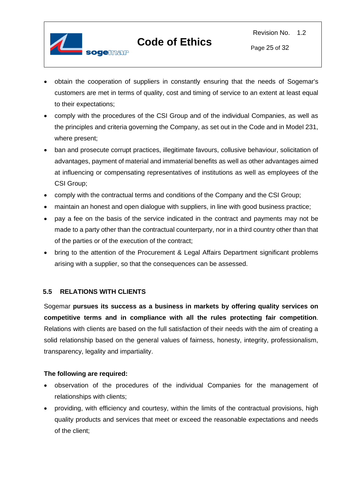

Page 25 of 32

- obtain the cooperation of suppliers in constantly ensuring that the needs of Sogemar's customers are met in terms of quality, cost and timing of service to an extent at least equal to their expectations;
- comply with the procedures of the CSI Group and of the individual Companies, as well as the principles and criteria governing the Company, as set out in the Code and in Model 231, where present;
- ban and prosecute corrupt practices, illegitimate favours, collusive behaviour, solicitation of advantages, payment of material and immaterial benefits as well as other advantages aimed at influencing or compensating representatives of institutions as well as employees of the CSI Group;
- comply with the contractual terms and conditions of the Company and the CSI Group;
- maintain an honest and open dialogue with suppliers, in line with good business practice;
- pay a fee on the basis of the service indicated in the contract and payments may not be made to a party other than the contractual counterparty, nor in a third country other than that of the parties or of the execution of the contract;
- bring to the attention of the Procurement & Legal Affairs Department significant problems arising with a supplier, so that the consequences can be assessed.

#### <span id="page-24-0"></span>**5.5 RELATIONS WITH CLIENTS**

Sogemar **pursues its success as a business in markets by offering quality services on competitive terms and in compliance with all the rules protecting fair competition**. Relations with clients are based on the full satisfaction of their needs with the aim of creating a solid relationship based on the general values of fairness, honesty, integrity, professionalism, transparency, legality and impartiality.

- observation of the procedures of the individual Companies for the management of relationships with clients;
- providing, with efficiency and courtesy, within the limits of the contractual provisions, high quality products and services that meet or exceed the reasonable expectations and needs of the client;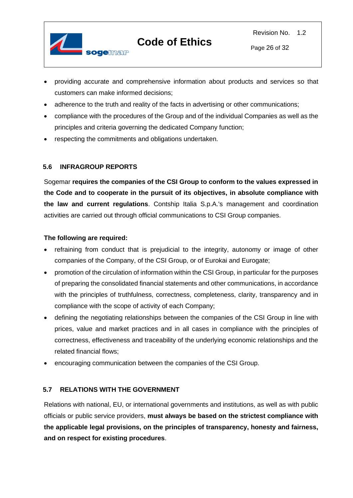

- providing accurate and comprehensive information about products and services so that customers can make informed decisions;
- adherence to the truth and reality of the facts in advertising or other communications;
- compliance with the procedures of the Group and of the individual Companies as well as the principles and criteria governing the dedicated Company function;
- respecting the commitments and obligations undertaken.

#### <span id="page-25-0"></span>**5.6 INFRAGROUP REPORTS**

Sogemar **requires the companies of the CSI Group to conform to the values expressed in the Code and to cooperate in the pursuit of its objectives, in absolute compliance with the law and current regulations**. Contship Italia S.p.A.'s management and coordination activities are carried out through official communications to CSI Group companies.

#### **The following are required:**

- refraining from conduct that is prejudicial to the integrity, autonomy or image of other companies of the Company, of the CSI Group, or of Eurokai and Eurogate;
- promotion of the circulation of information within the CSI Group, in particular for the purposes of preparing the consolidated financial statements and other communications, in accordance with the principles of truthfulness, correctness, completeness, clarity, transparency and in compliance with the scope of activity of each Company;
- defining the negotiating relationships between the companies of the CSI Group in line with prices, value and market practices and in all cases in compliance with the principles of correctness, effectiveness and traceability of the underlying economic relationships and the related financial flows;
- encouraging communication between the companies of the CSI Group.

#### <span id="page-25-1"></span>**5.7 RELATIONS WITH THE GOVERNMENT**

Relations with national, EU, or international governments and institutions, as well as with public officials or public service providers, **must always be based on the strictest compliance with the applicable legal provisions, on the principles of transparency, honesty and fairness, and on respect for existing procedures**.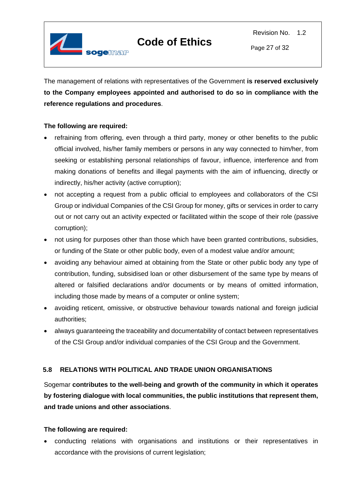

The management of relations with representatives of the Government **is reserved exclusively to the Company employees appointed and authorised to do so in compliance with the reference regulations and procedures**.

#### **The following are required:**

- refraining from offering, even through a third party, money or other benefits to the public official involved, his/her family members or persons in any way connected to him/her, from seeking or establishing personal relationships of favour, influence, interference and from making donations of benefits and illegal payments with the aim of influencing, directly or indirectly, his/her activity (active corruption);
- not accepting a request from a public official to employees and collaborators of the CSI Group or individual Companies of the CSI Group for money, gifts or services in order to carry out or not carry out an activity expected or facilitated within the scope of their role (passive corruption);
- not using for purposes other than those which have been granted contributions, subsidies, or funding of the State or other public body, even of a modest value and/or amount;
- avoiding any behaviour aimed at obtaining from the State or other public body any type of contribution, funding, subsidised loan or other disbursement of the same type by means of altered or falsified declarations and/or documents or by means of omitted information, including those made by means of a computer or online system;
- avoiding reticent, omissive, or obstructive behaviour towards national and foreign judicial authorities;
- always guaranteeing the traceability and documentability of contact between representatives of the CSI Group and/or individual companies of the CSI Group and the Government.

#### <span id="page-26-0"></span>**5.8 RELATIONS WITH POLITICAL AND TRADE UNION ORGANISATIONS**

Sogemar **contributes to the well-being and growth of the community in which it operates by fostering dialogue with local communities, the public institutions that represent them, and trade unions and other associations**.

#### **The following are required:**

• conducting relations with organisations and institutions or their representatives in accordance with the provisions of current legislation;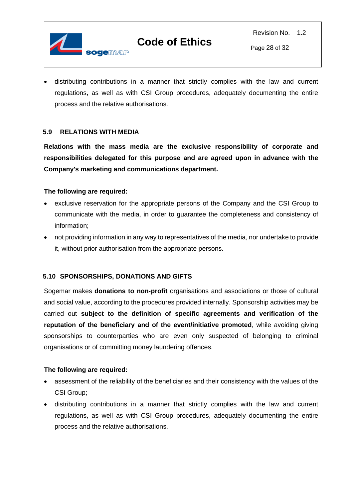

• distributing contributions in a manner that strictly complies with the law and current regulations, as well as with CSI Group procedures, adequately documenting the entire process and the relative authorisations.

#### <span id="page-27-0"></span>**5.9 RELATIONS WITH MEDIA**

**Relations with the mass media are the exclusive responsibility of corporate and responsibilities delegated for this purpose and are agreed upon in advance with the Company's marketing and communications department.** 

#### **The following are required:**

- exclusive reservation for the appropriate persons of the Company and the CSI Group to communicate with the media, in order to guarantee the completeness and consistency of information;
- not providing information in any way to representatives of the media, nor undertake to provide it, without prior authorisation from the appropriate persons.

#### <span id="page-27-1"></span>**5.10 SPONSORSHIPS, DONATIONS AND GIFTS**

Sogemar makes **donations to non-profit** organisations and associations or those of cultural and social value, according to the procedures provided internally. Sponsorship activities may be carried out **subject to the definition of specific agreements and verification of the reputation of the beneficiary and of the event/initiative promoted**, while avoiding giving sponsorships to counterparties who are even only suspected of belonging to criminal organisations or of committing money laundering offences.

- assessment of the reliability of the beneficiaries and their consistency with the values of the CSI Group;
- distributing contributions in a manner that strictly complies with the law and current regulations, as well as with CSI Group procedures, adequately documenting the entire process and the relative authorisations.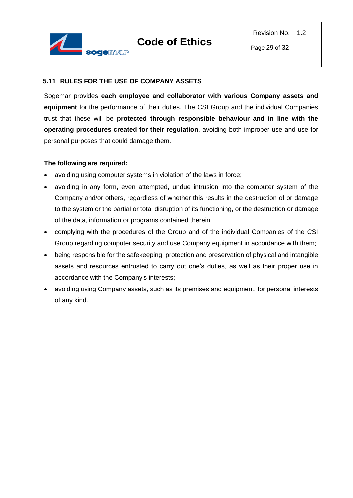

#### <span id="page-28-0"></span>**5.11 RULES FOR THE USE OF COMPANY ASSETS**

Sogemar provides **each employee and collaborator with various Company assets and equipment** for the performance of their duties. The CSI Group and the individual Companies trust that these will be **protected through responsible behaviour and in line with the operating procedures created for their regulation**, avoiding both improper use and use for personal purposes that could damage them.

- avoiding using computer systems in violation of the laws in force;
- avoiding in any form, even attempted, undue intrusion into the computer system of the Company and/or others, regardless of whether this results in the destruction of or damage to the system or the partial or total disruption of its functioning, or the destruction or damage of the data, information or programs contained therein;
- complying with the procedures of the Group and of the individual Companies of the CSI Group regarding computer security and use Company equipment in accordance with them;
- being responsible for the safekeeping, protection and preservation of physical and intangible assets and resources entrusted to carry out one's duties, as well as their proper use in accordance with the Company's interests;
- avoiding using Company assets, such as its premises and equipment, for personal interests of any kind.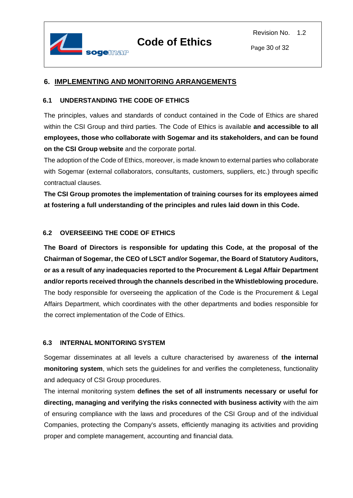

#### <span id="page-29-0"></span>**6. IMPLEMENTING AND MONITORING ARRANGEMENTS**

#### <span id="page-29-1"></span>**6.1 UNDERSTANDING THE CODE OF ETHICS**

The principles, values and standards of conduct contained in the Code of Ethics are shared within the CSI Group and third parties. The Code of Ethics is available **and accessible to all employees, those who collaborate with Sogemar and its stakeholders, and can be found on the CSI Group website** and the corporate portal.

The adoption of the Code of Ethics, moreover, is made known to external parties who collaborate with Sogemar (external collaborators, consultants, customers, suppliers, etc.) through specific contractual clauses.

**The CSI Group promotes the implementation of training courses for its employees aimed at fostering a full understanding of the principles and rules laid down in this Code.**

#### <span id="page-29-2"></span>**6.2 OVERSEEING THE CODE OF ETHICS**

**The Board of Directors is responsible for updating this Code, at the proposal of the Chairman of Sogemar, the CEO of LSCT and/or Sogemar, the Board of Statutory Auditors, or as a result of any inadequacies reported to the Procurement & Legal Affair Department and/or reports received through the channels described in the Whistleblowing procedure.**  The body responsible for overseeing the application of the Code is the Procurement & Legal Affairs Department, which coordinates with the other departments and bodies responsible for the correct implementation of the Code of Ethics.

#### <span id="page-29-3"></span>**6.3 INTERNAL MONITORING SYSTEM**

Sogemar disseminates at all levels a culture characterised by awareness of **the internal monitoring system**, which sets the guidelines for and verifies the completeness, functionality and adequacy of CSI Group procedures.

The internal monitoring system **defines the set of all instruments necessary or useful for directing, managing and verifying the risks connected with business activity** with the aim of ensuring compliance with the laws and procedures of the CSI Group and of the individual Companies, protecting the Company's assets, efficiently managing its activities and providing proper and complete management, accounting and financial data.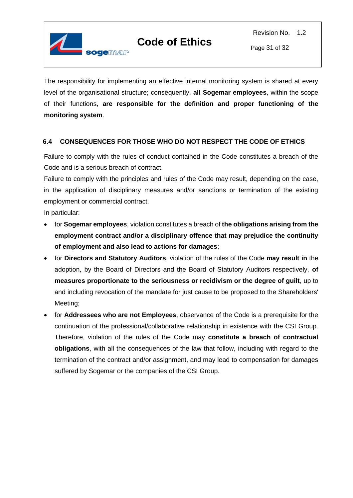

Page 31 of 32

The responsibility for implementing an effective internal monitoring system is shared at every level of the organisational structure; consequently, **all Sogemar employees**, within the scope of their functions, **are responsible for the definition and proper functioning of the monitoring system**.

#### <span id="page-30-0"></span>**6.4 CONSEQUENCES FOR THOSE WHO DO NOT RESPECT THE CODE OF ETHICS**

Failure to comply with the rules of conduct contained in the Code constitutes a breach of the Code and is a serious breach of contract.

Failure to comply with the principles and rules of the Code may result, depending on the case, in the application of disciplinary measures and/or sanctions or termination of the existing employment or commercial contract.

In particular:

- for **Sogemar employees**, violation constitutes a breach of **the obligations arising from the employment contract and/or a disciplinary offence that may prejudice the continuity of employment and also lead to actions for damages**;
- for **Directors and Statutory Auditors**, violation of the rules of the Code **may result in** the adoption, by the Board of Directors and the Board of Statutory Auditors respectively, **of measures proportionate to the seriousness or recidivism or the degree of guilt**, up to and including revocation of the mandate for just cause to be proposed to the Shareholders' Meeting;
- for **Addressees who are not Employees**, observance of the Code is a prerequisite for the continuation of the professional/collaborative relationship in existence with the CSI Group. Therefore, violation of the rules of the Code may **constitute a breach of contractual obligations**, with all the consequences of the law that follow, including with regard to the termination of the contract and/or assignment, and may lead to compensation for damages suffered by Sogemar or the companies of the CSI Group.